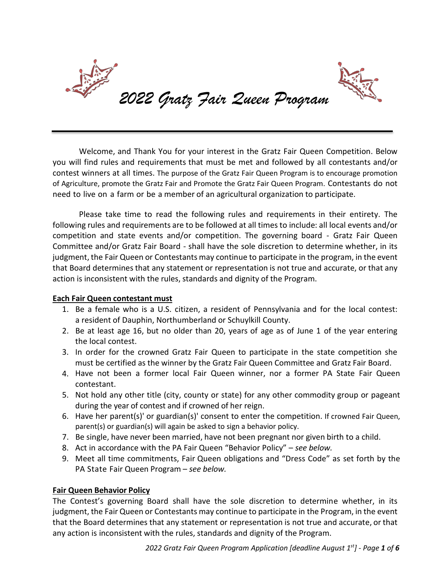

Welcome, and Thank You for your interest in the Gratz Fair Queen Competition. Below you will find rules and requirements that must be met and followed by all contestants and/or contest winners at all times. The purpose of the Gratz Fair Queen Program is to encourage promotion of Agriculture, promote the Gratz Fair and Promote the Gratz Fair Queen Program. Contestants do not need to live on a farm or be a member of an agricultural organization to participate.

Please take time to read the following rules and requirements in their entirety. The following rules and requirements are to be followed at all times to include: all local events and/or competition and state events and/or competition. The governing board - Gratz Fair Queen Committee and/or Gratz Fair Board - shall have the sole discretion to determine whether, in its judgment, the Fair Queen or Contestants may continue to participate in the program, in the event that Board determines that any statement or representation is not true and accurate, or that any action is inconsistent with the rules, standards and dignity of the Program.

# **Each Fair Queen contestant must**

- 1. Be a female who is a U.S. citizen, a resident of Pennsylvania and for the local contest: a resident of Dauphin, Northumberland or Schuylkill County.
- 2. Be at least age 16, but no older than 20, years of age as of June 1 of the year entering the local contest.
- 3. In order for the crowned Gratz Fair Queen to participate in the state competition she must be certified as the winner by the Gratz Fair Queen Committee and Gratz Fair Board.
- 4. Have not been a former local Fair Queen winner, nor a former PA State Fair Queen contestant.
- 5. Not hold any other title (city, county or state) for any other commodity group or pageant during the year of contest and if crowned of her reign.
- 6. Have her parent(s)' or guardian(s)' consent to enter the competition. If crowned Fair Queen, parent(s) or guardian(s) will again be asked to sign a behavior policy.
- 7. Be single, have never been married, have not been pregnant nor given birth to a child.
- 8. Act in accordance with the PA Fair Queen "Behavior Policy" *see below.*
- 9. Meet all time commitments, Fair Queen obligations and "Dress Code" as set forth by the PA State Fair Queen Program – *see below.*

# **Fair Queen Behavior Policy**

The Contest's governing Board shall have the sole discretion to determine whether, in its judgment, the Fair Queen or Contestants may continue to participate in the Program, in the event that the Board determines that any statement or representation is not true and accurate, or that any action is inconsistent with the rules, standards and dignity of the Program.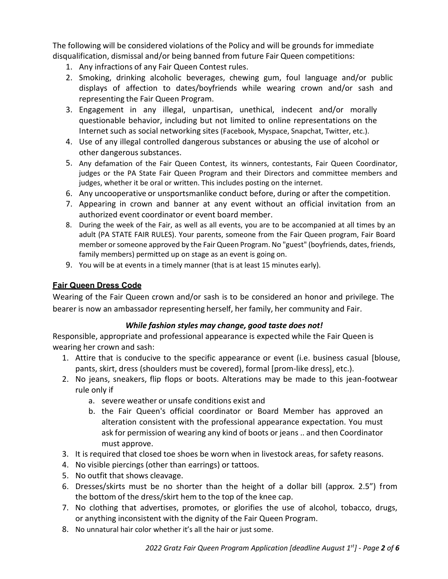The following will be considered violations of the Policy and will be grounds for immediate disqualification, dismissal and/or being banned from future Fair Queen competitions:

- 1. Any infractions of any Fair Queen Contest rules.
- 2. Smoking, drinking alcoholic beverages, chewing gum, foul language and/or public displays of affection to dates/boyfriends while wearing crown and/or sash and representing the Fair Queen Program.
- 3. Engagement in any illegal, unpartisan, unethical, indecent and/or morally questionable behavior, including but not limited to online representations on the Internet such as social networking sites (Facebook, Myspace, Snapchat, Twitter, etc.).
- 4. Use of any illegal controlled dangerous substances or abusing the use of alcohol or other dangerous substances.
- 5. Any defamation of the Fair Queen Contest, its winners, contestants, Fair Queen Coordinator, judges or the PA State Fair Queen Program and their Directors and committee members and judges, whether it be oral or written. This includes posting on the internet.
- 6. Any uncooperative or unsportsmanlike conduct before, during or after the competition.
- 7. Appearing in crown and banner at any event without an official invitation from an authorized event coordinator or event board member.
- 8. During the week of the Fair, as well as all events, you are to be accompanied at all times by an adult (PA STATE FAIR RULES). Your parents, someone from the Fair Queen program, Fair Board member or someone approved by the Fair Queen Program. No "guest" (boyfriends, dates, friends, family members) permitted up on stage as an event is going on.
- 9. You will be at events in a timely manner (that is at least 15 minutes early).

# **Fair Queen Dress Code**

Wearing of the Fair Queen crown and/or sash is to be considered an honor and privilege. The bearer is now an ambassador representing herself, her family, her community and Fair.

### *While fashion styles may change, good taste does not!*

Responsible, appropriate and professional appearance is expected while the Fair Queen is wearing her crown and sash:

- 1. Attire that is conducive to the specific appearance or event (i.e. business casual [blouse, pants, skirt, dress (shoulders must be covered), formal [prom-like dress], etc.).
- 2. No jeans, sneakers, flip flops or boots. Alterations may be made to this jean-footwear rule only if
	- a. severe weather or unsafe conditions exist and
	- b. the Fair Queen's official coordinator or Board Member has approved an alteration consistent with the professional appearance expectation. You must ask for permission of wearing any kind of boots or jeans .. and then Coordinator must approve.
- 3. It is required that closed toe shoes be worn when in livestock areas, for safety reasons.
- 4. No visible piercings (other than earrings) or tattoos.
- 5. No outfit that shows cleavage.
- 6. Dresses/skirts must be no shorter than the height of a dollar bill (approx. 2.5") from the bottom of the dress/skirt hem to the top of the knee cap.
- 7. No clothing that advertises, promotes, or glorifies the use of alcohol, tobacco, drugs, or anything inconsistent with the dignity of the Fair Queen Program.
- 8. No unnatural hair color whether it's all the hair or just some.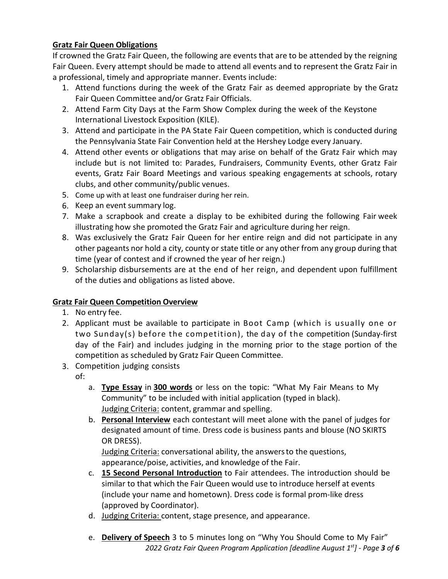# **Gratz Fair Queen Obligations**

If crowned the Gratz Fair Queen, the following are events that are to be attended by the reigning Fair Queen. Every attempt should be made to attend all events and to represent the Gratz Fair in a professional, timely and appropriate manner. Events include:

- 1. Attend functions during the week of the Gratz Fair as deemed appropriate by the Gratz Fair Queen Committee and/or Gratz Fair Officials.
- 2. Attend Farm City Days at the Farm Show Complex during the week of the Keystone International Livestock Exposition (KILE).
- 3. Attend and participate in the PA State Fair Queen competition, which is conducted during the Pennsylvania State Fair Convention held at the Hershey Lodge every January.
- 4. Attend other events or obligations that may arise on behalf of the Gratz Fair which may include but is not limited to: Parades, Fundraisers, Community Events, other Gratz Fair events, Gratz Fair Board Meetings and various speaking engagements at schools, rotary clubs, and other community/public venues.
- 5. Come up with at least one fundraiser during her rein.
- 6. Keep an event summary log.
- 7. Make a scrapbook and create a display to be exhibited during the following Fair week illustrating how she promoted the Gratz Fair and agriculture during her reign.
- 8. Was exclusively the Gratz Fair Queen for her entire reign and did not participate in any other pageants nor hold a city, county or state title or any other from any group during that time (year of contest and if crowned the year of her reign.)
- 9. Scholarship disbursements are at the end of her reign, and dependent upon fulfillment of the duties and obligations as listed above.

# **Gratz Fair Queen Competition Overview**

- 1. No entry fee.
- 2. Applicant must be available to participate in Boot Camp (which is usually one or two Sunday(s) before the competition), the day of the competition (Sunday-first day of the Fair) and includes judging in the morning prior to the stage portion of the competition as scheduled by Gratz Fair Queen Committee.
- 3. Competition judging consists
	- of:
		- a. **Type Essay** in **300 words** or less on the topic: "What My Fair Means to My Community" to be included with initial application (typed in black). Judging Criteria: content, grammar and spelling.
		- b. **Personal Interview** each contestant will meet alone with the panel of judges for designated amount of time. Dress code is business pants and blouse (NO SKIRTS OR DRESS).

Judging Criteria: conversational ability, the answers to the questions, appearance/poise, activities, and knowledge of the Fair.

- c. **15 Second Personal Introduction** to Fair attendees. The introduction should be similar to that which the Fair Queen would use to introduce herself at events (include your name and hometown). Dress code is formal prom-like dress (approved by Coordinator).
- d. Judging Criteria: content, stage presence, and appearance.
- *2022 Gratz Fair Queen Program Application [deadline August 1st] Page 3 of 6* e. **Delivery of Speech** 3 to 5 minutes long on "Why You Should Come to My Fair"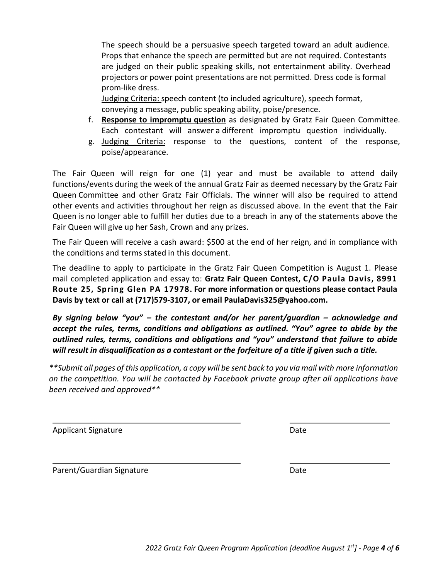mail completed application and essay to: **Gratz Fair Queen Contest, C/O Paula Davis, 8991 Route 25, Spring Glen PA 17978. For more information or questions please contact Paula Davis by text or call at (717)579-3107, or email PaulaDavis325@yahoo.com.**

*By signing below "you" – the contestant and/or her parent/guardian – acknowledge and accept the rules, terms, conditions and obligations as outlined. "You" agree to abide by the outlined rules, terms, conditions and obligations and "you" understand that failure to abide will result in disqualification as a contestant or the forfeiture of a title if given such a title.*

*\*\*Submit all pages of this application, a copy will be sent back to you via mail with more information on the competition. You will be contacted by Facebook private group after all applications have been received and approved\*\**

Applicant Signature Date Date

Parent/Guardian Signature Date

The speech should be a persuasive speech targeted toward an adult audience. Props that enhance the speech are permitted but are not required. Contestants are judged on their public speaking skills, not entertainment ability. Overhead projectors or power point presentations are not permitted. Dress code is formal prom-like dress.

Judging Criteria: speech content (to included agriculture), speech format, conveying a message, public speaking ability, poise/presence.

The Fair Queen will reign for one (1) year and must be available to attend daily functions/events during the week of the annual Gratz Fair as deemed necessary by the Gratz Fair Queen Committee and other Gratz Fair Officials. The winner will also be required to attend other events and activities throughout her reign as discussed above. In the event that the Fair Queen is no longer able to fulfill her duties due to a breach in any of the statements above the

The Fair Queen will receive a cash award: \$500 at the end of her reign, and in compliance with

The deadline to apply to participate in the Gratz Fair Queen Competition is August 1. Please

Fair Queen will give up her Sash, Crown and any prizes.

the conditions and terms stated in this document.

- f. **Response to impromptu question** as designated by Gratz Fair Queen Committee. Each contestant will answer a different impromptu question individually.
- g. Judging Criteria: response to the questions, content of the response, poise/appearance.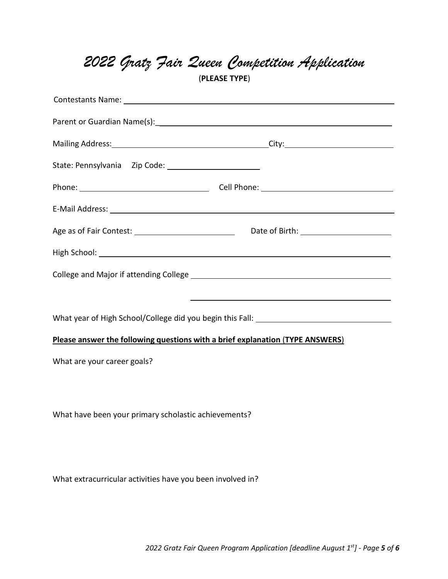|  |  |  |  | 2022 Gratz Fair Zueen Competition Application |  |
|--|--|--|--|-----------------------------------------------|--|
|--|--|--|--|-----------------------------------------------|--|

(**PLEASE TYPE**)

| Parent or Guardian Name(s): 1999. The material contract of the contract of the contract of the contract of the contract of the contract of the contract of the contract of the contract of the contract of the contract of the |  |  |  |  |  |  |
|--------------------------------------------------------------------------------------------------------------------------------------------------------------------------------------------------------------------------------|--|--|--|--|--|--|
| Mailing Address: 1999 Mailing Address: 2008 Mailing Address: 2008 Mailing Address: 2008 Mailing Address: 2008                                                                                                                  |  |  |  |  |  |  |
|                                                                                                                                                                                                                                |  |  |  |  |  |  |
|                                                                                                                                                                                                                                |  |  |  |  |  |  |
| E-Mail Address: National Address: National Address: National Address: National Address: National Address: National Address: National Address: National Address: National Address: National Address: National Address: National |  |  |  |  |  |  |
|                                                                                                                                                                                                                                |  |  |  |  |  |  |
|                                                                                                                                                                                                                                |  |  |  |  |  |  |
|                                                                                                                                                                                                                                |  |  |  |  |  |  |
|                                                                                                                                                                                                                                |  |  |  |  |  |  |
| What year of High School/College did you begin this Fall: _______________________                                                                                                                                              |  |  |  |  |  |  |
| Please answer the following questions with a brief explanation (TYPE ANSWERS)                                                                                                                                                  |  |  |  |  |  |  |
| What are your career goals?                                                                                                                                                                                                    |  |  |  |  |  |  |
|                                                                                                                                                                                                                                |  |  |  |  |  |  |
|                                                                                                                                                                                                                                |  |  |  |  |  |  |
| What have been your primary scholastic achievements?                                                                                                                                                                           |  |  |  |  |  |  |
|                                                                                                                                                                                                                                |  |  |  |  |  |  |

What extracurricular activities have you been involved in?